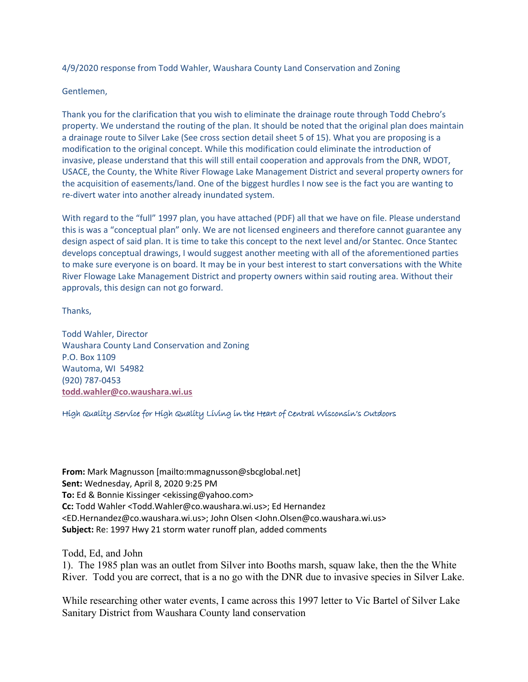4/9/2020 response from Todd Wahler, Waushara County Land Conservation and Zoning

Gentlemen,

Thank you for the clarification that you wish to eliminate the drainage route through Todd Chebro's property. We understand the routing of the plan. It should be noted that the original plan does maintain a drainage route to Silver Lake (See cross section detail sheet 5 of 15). What you are proposing is a modification to the original concept. While this modification could eliminate the introduction of invasive, please understand that this will still entail cooperation and approvals from the DNR, WDOT, USACE, the County, the White River Flowage Lake Management District and several property owners for the acquisition of easements/land. One of the biggest hurdles I now see is the fact you are wanting to re-divert water into another already inundated system.

With regard to the "full" 1997 plan, you have attached (PDF) all that we have on file. Please understand this is was a "conceptual plan" only. We are not licensed engineers and therefore cannot guarantee any design aspect of said plan. It is time to take this concept to the next level and/or Stantec. Once Stantec develops conceptual drawings, I would suggest another meeting with all of the aforementioned parties to make sure everyone is on board. It may be in your best interest to start conversations with the White River Flowage Lake Management District and property owners within said routing area. Without their approvals, this design can not go forward.

Thanks,

Todd Wahler, Director Waushara County Land Conservation and Zoning P.O. Box 1109 Wautoma, WI 54982 (920) 787-0453 **todd.wahler@co.waushara.wi.us**

High Quality Service for High Quality Living in the Heart of Central Wisconsin's Outdoors

**From:** Mark Magnusson [mailto:mmagnusson@sbcglobal.net] **Sent:** Wednesday, April 8, 2020 9:25 PM **To:** Ed & Bonnie Kissinger <ekissing@yahoo.com> **Cc:** Todd Wahler <Todd.Wahler@co.waushara.wi.us>; Ed Hernandez <ED.Hernandez@co.waushara.wi.us>; John Olsen <John.Olsen@co.waushara.wi.us> **Subject:** Re: 1997 Hwy 21 storm water runoff plan, added comments

Todd, Ed, and John

1). The 1985 plan was an outlet from Silver into Booths marsh, squaw lake, then the the White River. Todd you are correct, that is a no go with the DNR due to invasive species in Silver Lake.

While researching other water events, I came across this 1997 letter to Vic Bartel of Silver Lake Sanitary District from Waushara County land conservation